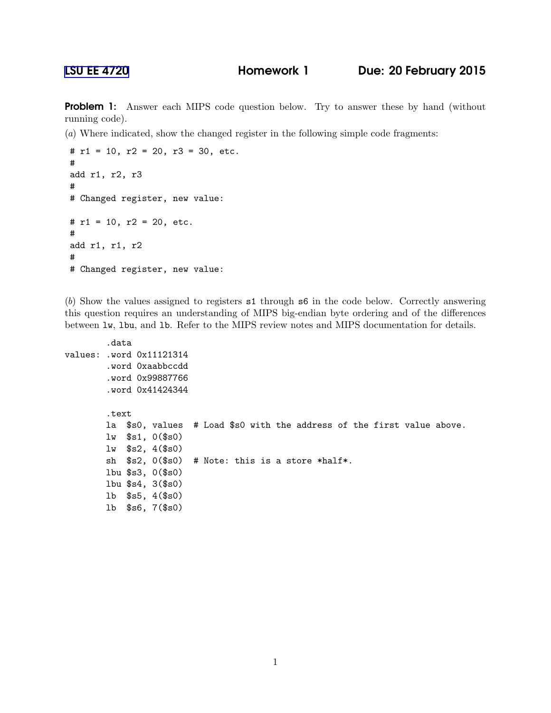[LSU EE 4720](http://www.ece.lsu.edu/ee4720/) Homework 1 Due: 20 February 2015

Problem 1: Answer each MIPS code question below. Try to answer these by hand (without running code).

(*a*) Where indicated, show the changed register in the following simple code fragments:

```
# r1 = 10, r2 = 20, r3 = 30, etc.
#
add r1, r2, r3
#
# Changed register, new value:
# r1 = 10, r2 = 20, etc.
#
add r1, r1, r2
#
# Changed register, new value:
```
(*b*) Show the values assigned to registers s1 through s6 in the code below. Correctly answering this question requires an understanding of MIPS big-endian byte ordering and of the differences between lw, lbu, and lb. Refer to the MIPS review notes and MIPS documentation for details.

```
.data
values: .word 0x11121314
        .word 0xaabbccdd
        .word 0x99887766
        .word 0x41424344
        .text
        la $s0, values # Load $s0 with the address of the first value above.
        lw $s1, 0($s0)
        lw $s2, 4($s0)
        sh $s2, 0($s0) # Note: this is a store *half*.
        lbu $s3, 0($s0)
        lbu $s4, 3($s0)
        lb $s5, 4($s0)
        lb $s6, 7($s0)
```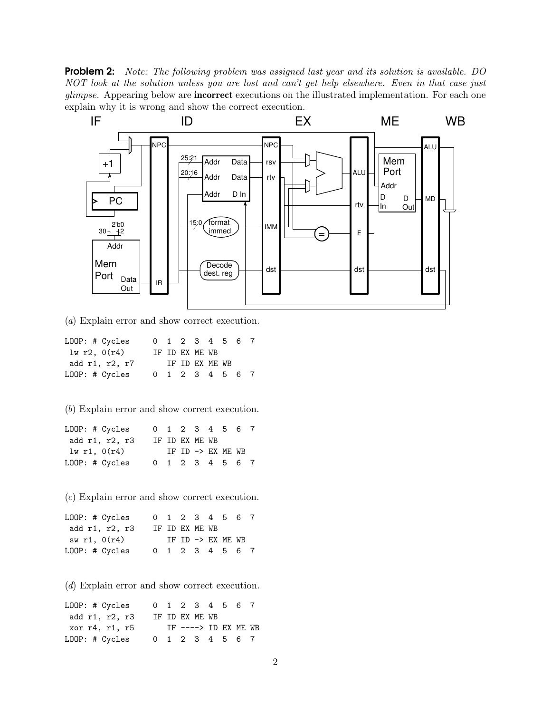Problem 2: *Note: The following problem was assigned last year and its solution is available. DO NOT look at the solution unless you are lost and can't get help elsewhere. Even in that case just glimpse.* Appearing below are incorrect executions on the illustrated implementation. For each one explain why it is wrong and show the correct execution.



(*a*) Explain error and show correct execution.

| LOOP: # Cycles |  |                | 0 1 2 3 4 5 6 7 |  |
|----------------|--|----------------|-----------------|--|
| 1w r2, 0(r4)   |  | IF ID EX ME WB |                 |  |
| add r1, r2, r7 |  | IF ID EX ME WB |                 |  |
| LOOP: # Cycles |  |                | 0 1 2 3 4 5 6 7 |  |

(*b*) Explain error and show correct execution.

| LOOP: # Cycles |  |                | 0 1 2 3 4 5 6 7   |  |
|----------------|--|----------------|-------------------|--|
| add r1, r2, r3 |  | IF ID EX ME WB |                   |  |
| lw r1, $0(r4)$ |  |                | IF ID -> EX ME WB |  |
| LOOP: # Cycles |  |                | 0 1 2 3 4 5 6 7   |  |

(*c*) Explain error and show correct execution.

| LOOP: # Cycles |  |                | 0 1 2 3 4 5 6 7   |  |
|----------------|--|----------------|-------------------|--|
| add r1, r2, r3 |  | IF ID EX ME WB |                   |  |
| sw r1, 0(r4)   |  |                | IF ID -> EX ME WB |  |
| LOOP: # Cycles |  |                | 0 1 2 3 4 5 6 7   |  |

(*d*) Explain error and show correct execution.

LOOP: # Cycles 0 1 2 3 4 5 6 7 add r1, r2, r3 IF ID EX ME WB xor r4, r1, r5 IF ----> ID EX ME WB LOOP: # Cycles 0 1 2 3 4 5 6 7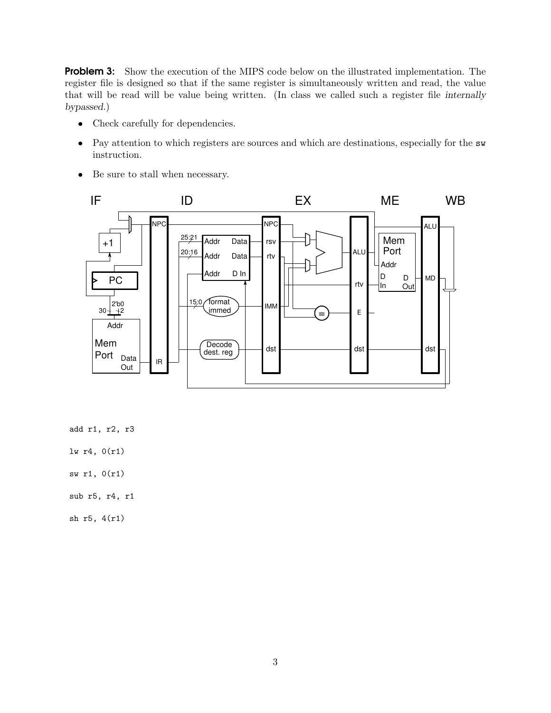**Problem 3:** Show the execution of the MIPS code below on the illustrated implementation. The register file is designed so that if the same register is simultaneously written and read, the value that will be read will be value being written. (In class we called such a register file internally bypassed.)

- Check carefully for dependencies.
- Pay attention to which registers are sources and which are destinations, especially for the sw instruction.
- Be sure to stall when necessary.



add r1, r2, r3

- lw r4, 0(r1)
- sw r1, 0(r1)
- sub r5, r4, r1

sh r5, 4(r1)